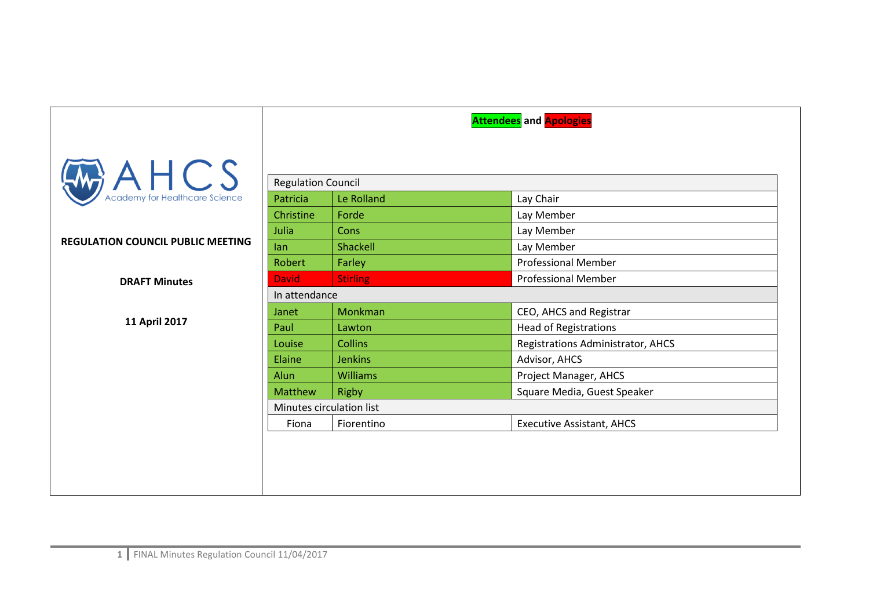|                                             | <b>Attendees</b> and <b>Apologies</b> |                 |                                   |  |
|---------------------------------------------|---------------------------------------|-----------------|-----------------------------------|--|
|                                             |                                       |                 |                                   |  |
| $A H C S$<br>Academy for Healthcare Science | <b>Regulation Council</b>             |                 |                                   |  |
|                                             | Patricia                              | Le Rolland      | Lay Chair                         |  |
|                                             | Christine                             | Forde           | Lay Member                        |  |
|                                             | Julia                                 | <b>Cons</b>     | Lay Member                        |  |
| <b>REGULATION COUNCIL PUBLIC MEETING</b>    | lan                                   | Shackell        | Lay Member                        |  |
|                                             | Robert                                | Farley          | <b>Professional Member</b>        |  |
| <b>DRAFT Minutes</b>                        | <b>David</b>                          | <b>Stirling</b> | <b>Professional Member</b>        |  |
|                                             | In attendance                         |                 |                                   |  |
|                                             | Janet                                 | Monkman         | CEO, AHCS and Registrar           |  |
| 11 April 2017                               | Paul                                  | Lawton          | <b>Head of Registrations</b>      |  |
|                                             | Louise                                | <b>Collins</b>  | Registrations Administrator, AHCS |  |
|                                             | Elaine                                | <b>Jenkins</b>  | Advisor, AHCS                     |  |
|                                             | Alun                                  | <b>Williams</b> | Project Manager, AHCS             |  |
|                                             | Matthew                               | <b>Rigby</b>    | Square Media, Guest Speaker       |  |
|                                             | Minutes circulation list              |                 |                                   |  |
|                                             | Fiona                                 | Fiorentino      | <b>Executive Assistant, AHCS</b>  |  |
|                                             |                                       |                 |                                   |  |
|                                             |                                       |                 |                                   |  |
|                                             |                                       |                 |                                   |  |
|                                             |                                       |                 |                                   |  |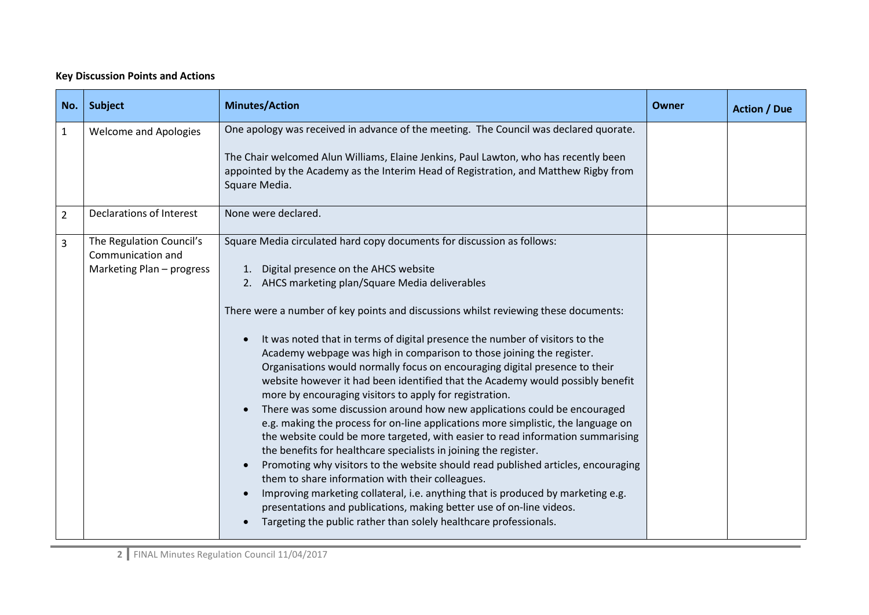## **Key Discussion Points and Actions**

| No.            | Subject                                                                    | <b>Minutes/Action</b>                                                                                                                                                                                                                                                                                                                                                                                                                                                                                                                                                                                                                                                                                                                                                                                                                                                                                                                                                                                                                                                                                                                                                                                                                                                                                                                                | Owner | <b>Action / Due</b> |
|----------------|----------------------------------------------------------------------------|------------------------------------------------------------------------------------------------------------------------------------------------------------------------------------------------------------------------------------------------------------------------------------------------------------------------------------------------------------------------------------------------------------------------------------------------------------------------------------------------------------------------------------------------------------------------------------------------------------------------------------------------------------------------------------------------------------------------------------------------------------------------------------------------------------------------------------------------------------------------------------------------------------------------------------------------------------------------------------------------------------------------------------------------------------------------------------------------------------------------------------------------------------------------------------------------------------------------------------------------------------------------------------------------------------------------------------------------------|-------|---------------------|
| $\mathbf{1}$   | <b>Welcome and Apologies</b>                                               | One apology was received in advance of the meeting. The Council was declared quorate.<br>The Chair welcomed Alun Williams, Elaine Jenkins, Paul Lawton, who has recently been<br>appointed by the Academy as the Interim Head of Registration, and Matthew Rigby from<br>Square Media.                                                                                                                                                                                                                                                                                                                                                                                                                                                                                                                                                                                                                                                                                                                                                                                                                                                                                                                                                                                                                                                               |       |                     |
| $\overline{2}$ | Declarations of Interest                                                   | None were declared.                                                                                                                                                                                                                                                                                                                                                                                                                                                                                                                                                                                                                                                                                                                                                                                                                                                                                                                                                                                                                                                                                                                                                                                                                                                                                                                                  |       |                     |
| 3              | The Regulation Council's<br>Communication and<br>Marketing Plan - progress | Square Media circulated hard copy documents for discussion as follows:<br>1. Digital presence on the AHCS website<br>2. AHCS marketing plan/Square Media deliverables<br>There were a number of key points and discussions whilst reviewing these documents:<br>It was noted that in terms of digital presence the number of visitors to the<br>Academy webpage was high in comparison to those joining the register.<br>Organisations would normally focus on encouraging digital presence to their<br>website however it had been identified that the Academy would possibly benefit<br>more by encouraging visitors to apply for registration.<br>There was some discussion around how new applications could be encouraged<br>e.g. making the process for on-line applications more simplistic, the language on<br>the website could be more targeted, with easier to read information summarising<br>the benefits for healthcare specialists in joining the register.<br>Promoting why visitors to the website should read published articles, encouraging<br>them to share information with their colleagues.<br>Improving marketing collateral, i.e. anything that is produced by marketing e.g.<br>presentations and publications, making better use of on-line videos.<br>Targeting the public rather than solely healthcare professionals. |       |                     |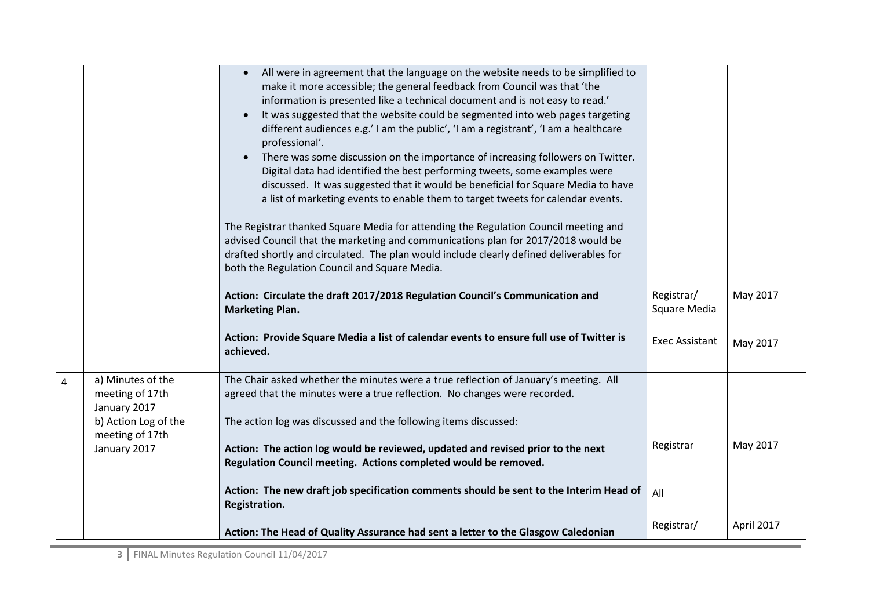|                |                                                                              | All were in agreement that the language on the website needs to be simplified to<br>make it more accessible; the general feedback from Council was that 'the<br>information is presented like a technical document and is not easy to read.'<br>It was suggested that the website could be segmented into web pages targeting<br>$\bullet$<br>different audiences e.g.' I am the public', 'I am a registrant', 'I am a healthcare<br>professional'.<br>There was some discussion on the importance of increasing followers on Twitter.<br>Digital data had identified the best performing tweets, some examples were<br>discussed. It was suggested that it would be beneficial for Square Media to have<br>a list of marketing events to enable them to target tweets for calendar events.<br>The Registrar thanked Square Media for attending the Regulation Council meeting and<br>advised Council that the marketing and communications plan for 2017/2018 would be<br>drafted shortly and circulated. The plan would include clearly defined deliverables for<br>both the Regulation Council and Square Media. |                            |            |
|----------------|------------------------------------------------------------------------------|---------------------------------------------------------------------------------------------------------------------------------------------------------------------------------------------------------------------------------------------------------------------------------------------------------------------------------------------------------------------------------------------------------------------------------------------------------------------------------------------------------------------------------------------------------------------------------------------------------------------------------------------------------------------------------------------------------------------------------------------------------------------------------------------------------------------------------------------------------------------------------------------------------------------------------------------------------------------------------------------------------------------------------------------------------------------------------------------------------------------|----------------------------|------------|
|                |                                                                              | Action: Circulate the draft 2017/2018 Regulation Council's Communication and<br><b>Marketing Plan.</b>                                                                                                                                                                                                                                                                                                                                                                                                                                                                                                                                                                                                                                                                                                                                                                                                                                                                                                                                                                                                              | Registrar/<br>Square Media | May 2017   |
|                |                                                                              | Action: Provide Square Media a list of calendar events to ensure full use of Twitter is<br>achieved.                                                                                                                                                                                                                                                                                                                                                                                                                                                                                                                                                                                                                                                                                                                                                                                                                                                                                                                                                                                                                | <b>Exec Assistant</b>      | May 2017   |
| $\overline{4}$ | a) Minutes of the<br>meeting of 17th<br>January 2017<br>b) Action Log of the | The Chair asked whether the minutes were a true reflection of January's meeting. All<br>agreed that the minutes were a true reflection. No changes were recorded.<br>The action log was discussed and the following items discussed:                                                                                                                                                                                                                                                                                                                                                                                                                                                                                                                                                                                                                                                                                                                                                                                                                                                                                |                            |            |
|                | meeting of 17th<br>January 2017                                              | Action: The action log would be reviewed, updated and revised prior to the next<br>Regulation Council meeting. Actions completed would be removed.                                                                                                                                                                                                                                                                                                                                                                                                                                                                                                                                                                                                                                                                                                                                                                                                                                                                                                                                                                  | Registrar                  | May 2017   |
|                |                                                                              | Action: The new draft job specification comments should be sent to the Interim Head of<br>Registration.                                                                                                                                                                                                                                                                                                                                                                                                                                                                                                                                                                                                                                                                                                                                                                                                                                                                                                                                                                                                             | All                        |            |
|                |                                                                              | Action: The Head of Quality Assurance had sent a letter to the Glasgow Caledonian                                                                                                                                                                                                                                                                                                                                                                                                                                                                                                                                                                                                                                                                                                                                                                                                                                                                                                                                                                                                                                   | Registrar/                 | April 2017 |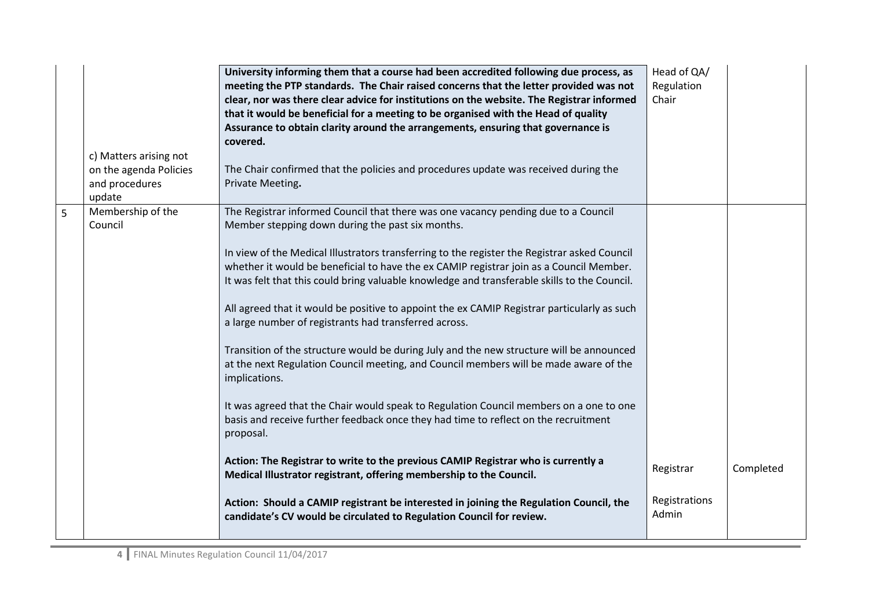|   | c) Matters arising not<br>on the agenda Policies<br>and procedures<br>update | University informing them that a course had been accredited following due process, as<br>meeting the PTP standards. The Chair raised concerns that the letter provided was not<br>clear, nor was there clear advice for institutions on the website. The Registrar informed<br>that it would be beneficial for a meeting to be organised with the Head of quality<br>Assurance to obtain clarity around the arrangements, ensuring that governance is<br>covered.<br>The Chair confirmed that the policies and procedures update was received during the<br>Private Meeting.                                                                                                                                                                                                                                                                                                                                                                                                                                                                                                                                                                              | Head of QA/<br>Regulation<br>Chair |           |
|---|------------------------------------------------------------------------------|-----------------------------------------------------------------------------------------------------------------------------------------------------------------------------------------------------------------------------------------------------------------------------------------------------------------------------------------------------------------------------------------------------------------------------------------------------------------------------------------------------------------------------------------------------------------------------------------------------------------------------------------------------------------------------------------------------------------------------------------------------------------------------------------------------------------------------------------------------------------------------------------------------------------------------------------------------------------------------------------------------------------------------------------------------------------------------------------------------------------------------------------------------------|------------------------------------|-----------|
| 5 | Membership of the<br>Council                                                 | The Registrar informed Council that there was one vacancy pending due to a Council<br>Member stepping down during the past six months.<br>In view of the Medical Illustrators transferring to the register the Registrar asked Council<br>whether it would be beneficial to have the ex CAMIP registrar join as a Council Member.<br>It was felt that this could bring valuable knowledge and transferable skills to the Council.<br>All agreed that it would be positive to appoint the ex CAMIP Registrar particularly as such<br>a large number of registrants had transferred across.<br>Transition of the structure would be during July and the new structure will be announced<br>at the next Regulation Council meeting, and Council members will be made aware of the<br>implications.<br>It was agreed that the Chair would speak to Regulation Council members on a one to one<br>basis and receive further feedback once they had time to reflect on the recruitment<br>proposal.<br>Action: The Registrar to write to the previous CAMIP Registrar who is currently a<br>Medical Illustrator registrant, offering membership to the Council. | Registrar                          | Completed |
|   |                                                                              | Action: Should a CAMIP registrant be interested in joining the Regulation Council, the<br>candidate's CV would be circulated to Regulation Council for review.                                                                                                                                                                                                                                                                                                                                                                                                                                                                                                                                                                                                                                                                                                                                                                                                                                                                                                                                                                                            | Registrations<br>Admin             |           |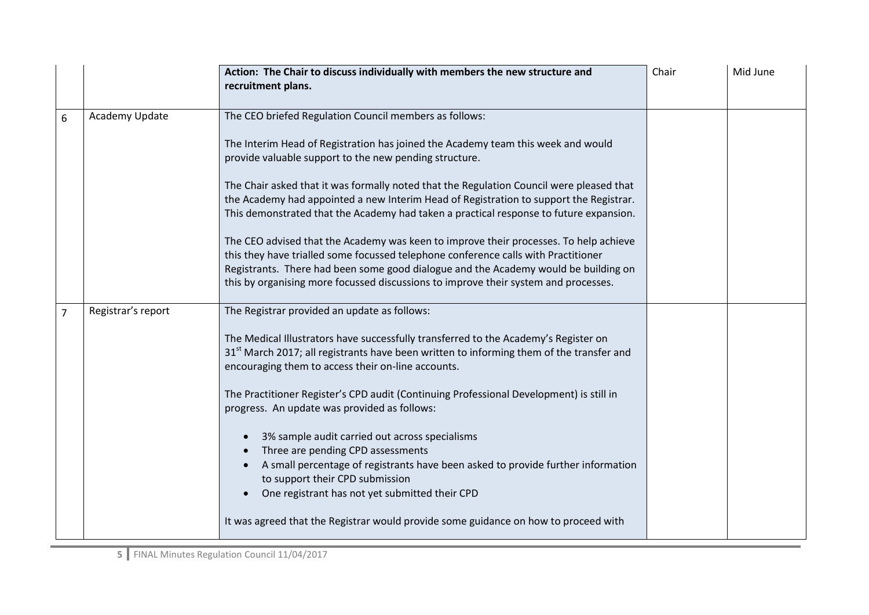|                |                    | Action: The Chair to discuss individually with members the new structure and<br>recruitment plans.                                                                                                                                                                                                                                                                                                                                                                                                                                                                                                                                                                                                                                                                                                                                                | Chair | Mid June |
|----------------|--------------------|---------------------------------------------------------------------------------------------------------------------------------------------------------------------------------------------------------------------------------------------------------------------------------------------------------------------------------------------------------------------------------------------------------------------------------------------------------------------------------------------------------------------------------------------------------------------------------------------------------------------------------------------------------------------------------------------------------------------------------------------------------------------------------------------------------------------------------------------------|-------|----------|
| 6              | Academy Update     | The CEO briefed Regulation Council members as follows:<br>The Interim Head of Registration has joined the Academy team this week and would<br>provide valuable support to the new pending structure.<br>The Chair asked that it was formally noted that the Regulation Council were pleased that<br>the Academy had appointed a new Interim Head of Registration to support the Registrar.<br>This demonstrated that the Academy had taken a practical response to future expansion.<br>The CEO advised that the Academy was keen to improve their processes. To help achieve<br>this they have trialled some focussed telephone conference calls with Practitioner<br>Registrants. There had been some good dialogue and the Academy would be building on<br>this by organising more focussed discussions to improve their system and processes. |       |          |
| $\overline{7}$ | Registrar's report | The Registrar provided an update as follows:<br>The Medical Illustrators have successfully transferred to the Academy's Register on<br>31 <sup>st</sup> March 2017; all registrants have been written to informing them of the transfer and<br>encouraging them to access their on-line accounts.<br>The Practitioner Register's CPD audit (Continuing Professional Development) is still in<br>progress. An update was provided as follows:<br>3% sample audit carried out across specialisms<br>Three are pending CPD assessments<br>A small percentage of registrants have been asked to provide further information<br>to support their CPD submission<br>One registrant has not yet submitted their CPD<br>It was agreed that the Registrar would provide some guidance on how to proceed with                                               |       |          |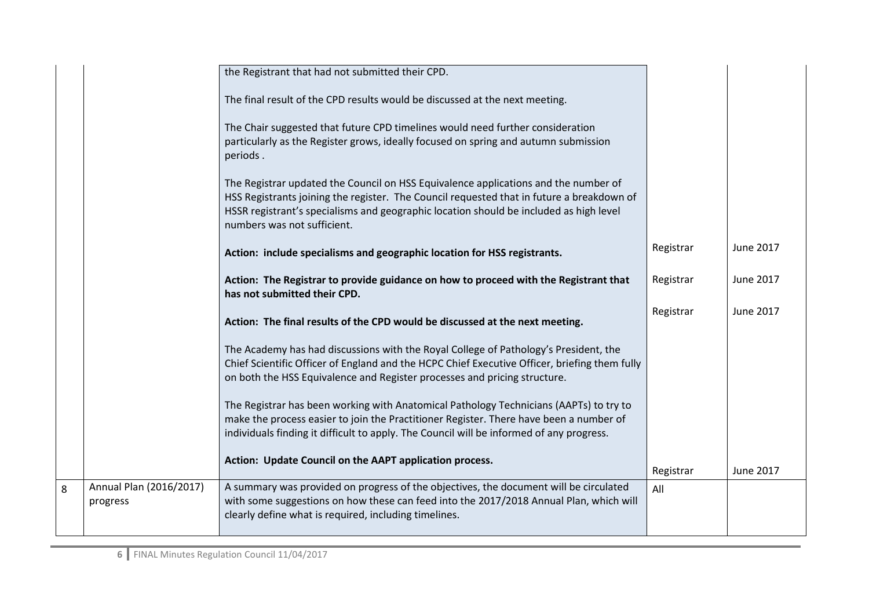|   |                                     | the Registrant that had not submitted their CPD.                                                                                                                                                                                                                                                          |           |           |
|---|-------------------------------------|-----------------------------------------------------------------------------------------------------------------------------------------------------------------------------------------------------------------------------------------------------------------------------------------------------------|-----------|-----------|
|   |                                     | The final result of the CPD results would be discussed at the next meeting.                                                                                                                                                                                                                               |           |           |
|   |                                     | The Chair suggested that future CPD timelines would need further consideration<br>particularly as the Register grows, ideally focused on spring and autumn submission<br>periods.                                                                                                                         |           |           |
|   |                                     | The Registrar updated the Council on HSS Equivalence applications and the number of<br>HSS Registrants joining the register. The Council requested that in future a breakdown of<br>HSSR registrant's specialisms and geographic location should be included as high level<br>numbers was not sufficient. |           |           |
|   |                                     | Action: include specialisms and geographic location for HSS registrants.                                                                                                                                                                                                                                  | Registrar | June 2017 |
|   |                                     | Action: The Registrar to provide guidance on how to proceed with the Registrant that<br>has not submitted their CPD.                                                                                                                                                                                      | Registrar | June 2017 |
|   |                                     | Action: The final results of the CPD would be discussed at the next meeting.                                                                                                                                                                                                                              | Registrar | June 2017 |
|   |                                     | The Academy has had discussions with the Royal College of Pathology's President, the<br>Chief Scientific Officer of England and the HCPC Chief Executive Officer, briefing them fully<br>on both the HSS Equivalence and Register processes and pricing structure.                                        |           |           |
|   |                                     | The Registrar has been working with Anatomical Pathology Technicians (AAPTs) to try to<br>make the process easier to join the Practitioner Register. There have been a number of<br>individuals finding it difficult to apply. The Council will be informed of any progress.                              |           |           |
|   |                                     | Action: Update Council on the AAPT application process.                                                                                                                                                                                                                                                   | Registrar | June 2017 |
| 8 | Annual Plan (2016/2017)<br>progress | A summary was provided on progress of the objectives, the document will be circulated<br>with some suggestions on how these can feed into the 2017/2018 Annual Plan, which will<br>clearly define what is required, including timelines.                                                                  | All       |           |
|   |                                     |                                                                                                                                                                                                                                                                                                           |           |           |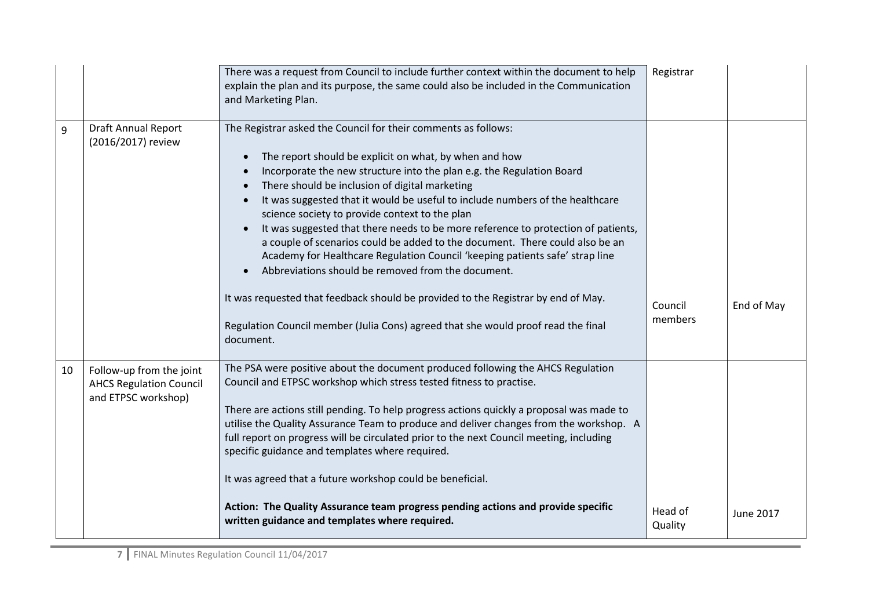|                                                                                   | There was a request from Council to include further context within the document to help<br>explain the plan and its purpose, the same could also be included in the Communication<br>and Marketing Plan.                                                                                                                                                                                                                                                                                                                                                                                                                                                                                                                                                                                                                                                                                 | Registrar          |            |
|-----------------------------------------------------------------------------------|------------------------------------------------------------------------------------------------------------------------------------------------------------------------------------------------------------------------------------------------------------------------------------------------------------------------------------------------------------------------------------------------------------------------------------------------------------------------------------------------------------------------------------------------------------------------------------------------------------------------------------------------------------------------------------------------------------------------------------------------------------------------------------------------------------------------------------------------------------------------------------------|--------------------|------------|
| <b>Draft Annual Report</b><br>(2016/2017) review                                  | The Registrar asked the Council for their comments as follows:<br>The report should be explicit on what, by when and how<br>Incorporate the new structure into the plan e.g. the Regulation Board<br>There should be inclusion of digital marketing<br>It was suggested that it would be useful to include numbers of the healthcare<br>science society to provide context to the plan<br>It was suggested that there needs to be more reference to protection of patients,<br>a couple of scenarios could be added to the document. There could also be an<br>Academy for Healthcare Regulation Council 'keeping patients safe' strap line<br>Abbreviations should be removed from the document.<br>It was requested that feedback should be provided to the Registrar by end of May.<br>Regulation Council member (Julia Cons) agreed that she would proof read the final<br>document. | Council<br>members | End of May |
| Follow-up from the joint<br><b>AHCS Regulation Council</b><br>and ETPSC workshop) | The PSA were positive about the document produced following the AHCS Regulation<br>Council and ETPSC workshop which stress tested fitness to practise.<br>There are actions still pending. To help progress actions quickly a proposal was made to<br>utilise the Quality Assurance Team to produce and deliver changes from the workshop. A<br>full report on progress will be circulated prior to the next Council meeting, including<br>specific guidance and templates where required.<br>It was agreed that a future workshop could be beneficial.<br>Action: The Quality Assurance team progress pending actions and provide specific<br>written guidance and templates where required.                                                                                                                                                                                            | Head of            | June 2017  |
|                                                                                   |                                                                                                                                                                                                                                                                                                                                                                                                                                                                                                                                                                                                                                                                                                                                                                                                                                                                                          |                    | Quality    |